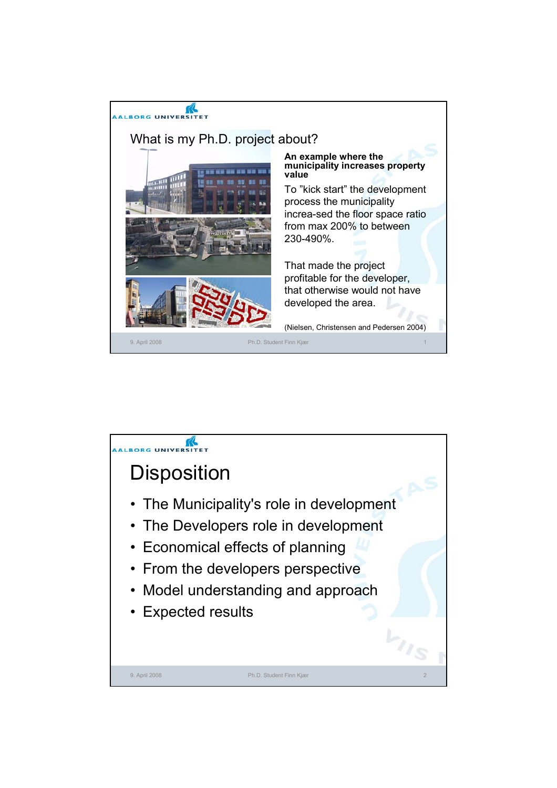

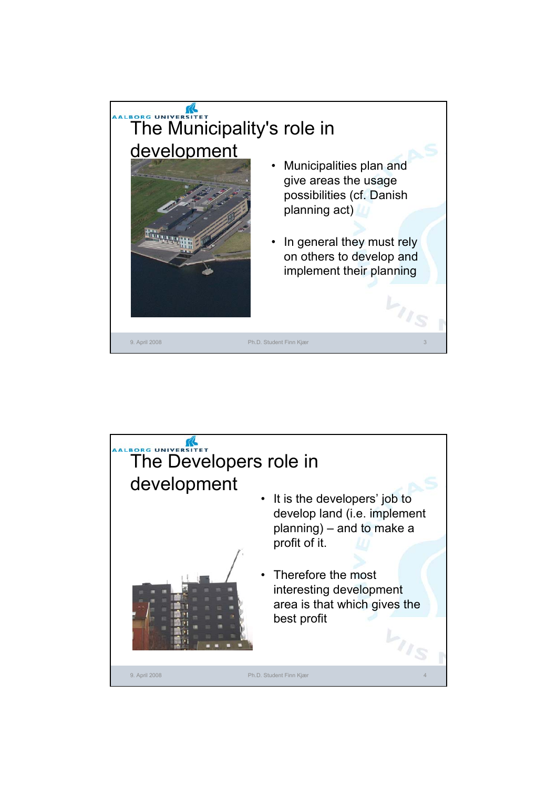

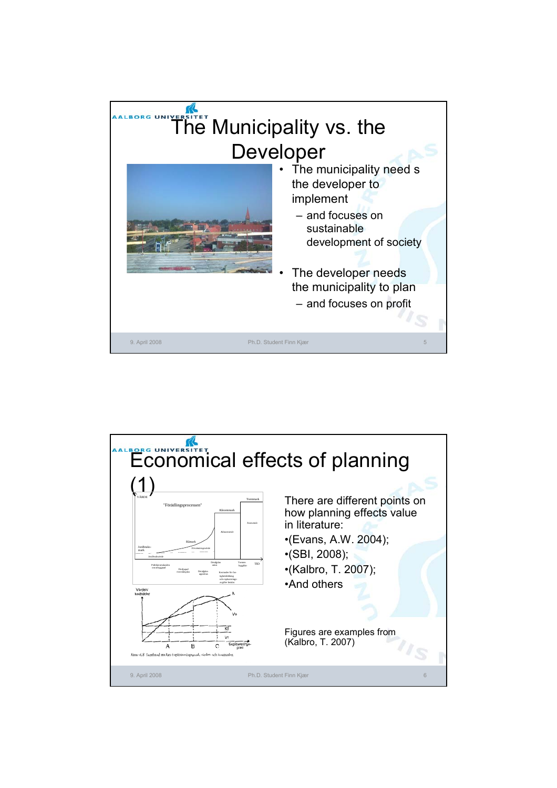

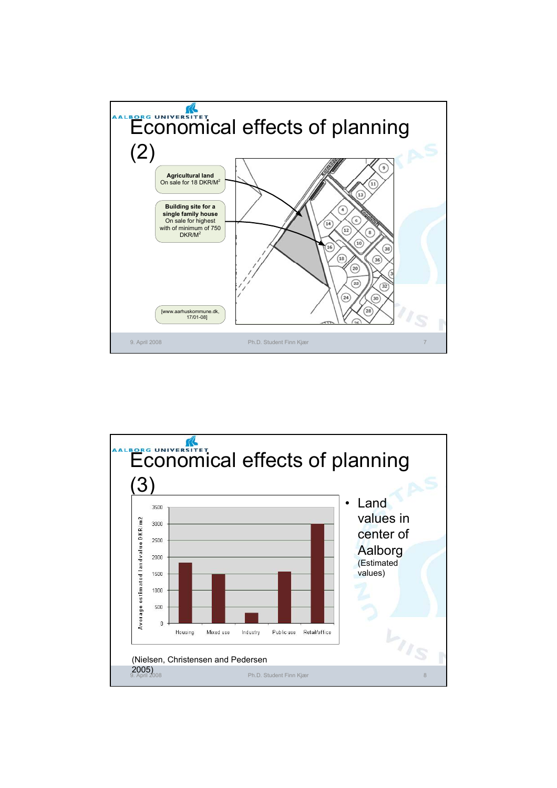

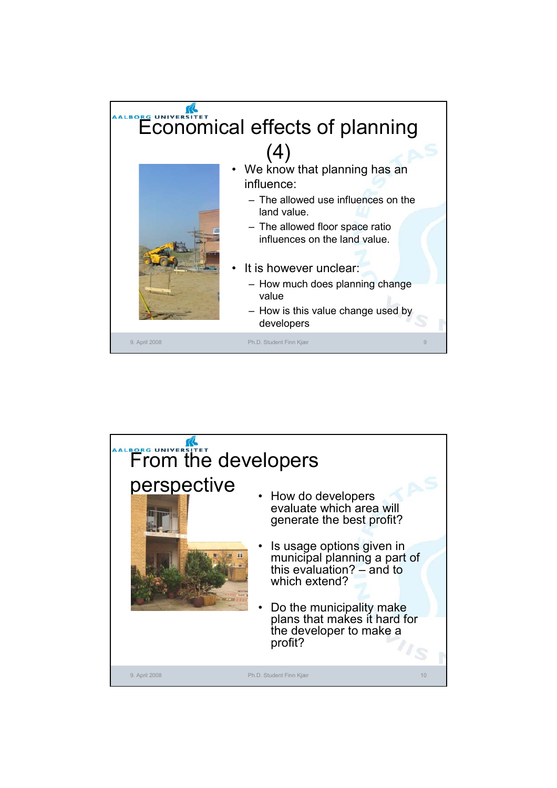

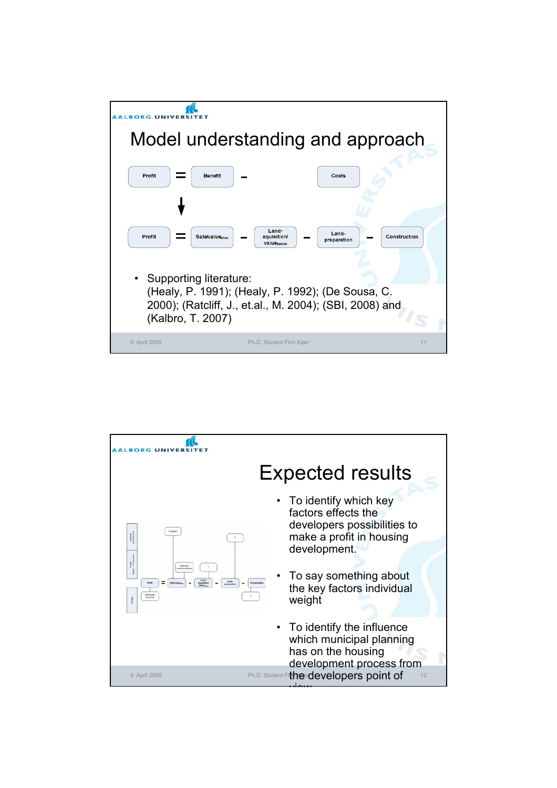